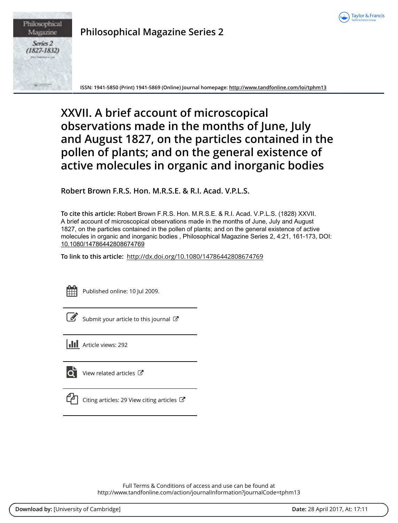

## **Philosophical Magazine Series 2**

**ISSN: 1941-5850 (Print) 1941-5869 (Online) Journal homepage:<http://www.tandfonline.com/loi/tphm13>**

# **XXVII. A brief account of microscopical observations made in the months of June, July and August 1827, on the particles contained in the pollen of plants; and on the general existence of active molecules in organic and inorganic bodies**

**Robert Brown F.R.S. Hon. M.R.S.E. & R.I. Acad. V.P.L.S.**

**To cite this article:** Robert Brown F.R.S. Hon. M.R.S.E. & R.I. Acad. V.P.L.S. (1828) XXVII. A brief account of microscopical observations made in the months of June, July and August 1827, on the particles contained in the pollen of plants; and on the general existence of active molecules in organic and inorganic bodies , Philosophical Magazine Series 2, 4:21, 161-173, DOI: [10.1080/14786442808674769](http://www.tandfonline.com/action/showCitFormats?doi=10.1080/14786442808674769)

**To link to this article:** <http://dx.doi.org/10.1080/14786442808674769>



Published online: 10 Jul 2009.

[Submit your article to this journal](http://www.tandfonline.com/action/authorSubmission?journalCode=tphm13&show=instructions)  $\mathbb{Z}$ 

**Article views: 292** 



[View related articles](http://www.tandfonline.com/doi/mlt/10.1080/14786442808674769)  $\mathbb{Z}$ 



[Citing articles: 29 View citing articles](http://www.tandfonline.com/doi/citedby/10.1080/14786442808674769#tabModule)  $\mathbb{Z}$ 

Full Terms & Conditions of access and use can be found at <http://www.tandfonline.com/action/journalInformation?journalCode=tphm13>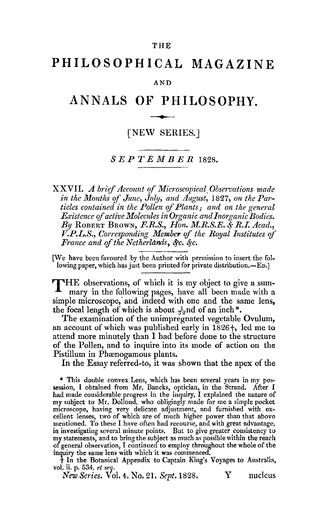#### **THE**

## **PHILOSOPHICAL MAGAZINE**

#### AND

### **ANNALS OF PHILOSOPHY.**

#### [NEW SERIES.]

#### *SEPTEMBER* 1828.

XXVII. *A brief Account of Microscopical.Observations made in the Months of June, JuIj, and August,* 1827, *on the Par*ticles contained in the Pollen of Plants; and on the general *JExistence of active Molecules in Organic and Inorganic Bodies.*  By ROBERT BROWN, *F.R.S., Hon. M.R.S.E. & R.I. Acad.*,  $V.P.L.S., Corresponding Member of the Royal Institutes of$ *France and of the Netherlands, &c. &c.* 

[We have been favoured by the Author with permission to insert the following paper, which has just been printed for private distribution.—En.]

THE observations, of which it is my object to give a summary in the following pages, have all been made with a simple microscope, and indeed with one and the same lens, the focal length of which is about  $\frac{1}{50}$ nd of an inch\*.

The examination of the unimpregnated vegetable Ovulum, an account of which was published early in 1826<sup>+</sup>, led me to attend more minutely than I had before done to the structure of the Pollen, and to inquire into its mode of action on the Pistillum in Phænogamous plants.

In the Essay referred-to, it was shown that the apex of the

\* This double convex Lens, which has been several years in my possession, I obtained from Mr. Baneks, optician, in the Strand. After I had made considerable progress in the inquiry, I explained the nature of my subject to Mr. Dollond, who obligingly made for me a simple pocket microscope, having very delicate adjustment, and furnished with excellent lenses, two of which are of much higher power than that above mentioned. 1'o these I have often had recourse, and with great advantage, in investigating several minute points. Bat to give greater consistency to my statements, and to bring the subject as much as possible within the reach of general observation, I continued to employ throughout the whole of the inquiry the same lens with which it was commenced.

+ In the Botanical Appendix to Captain King's Voyages to Australia, voh ii. p. 534. *et seq.* 

*New Series.* Vol. 4. No. 21. *Sept.* 1828. Y nucleus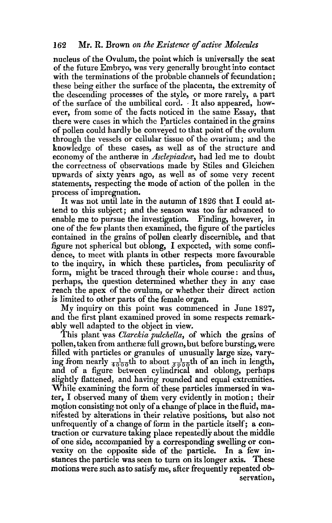nucleus of the Ovulum, the point which is universally the seat of the future Embryo, was very generally brought into contact with the terminations of the probable channels of fecundation; these being either the surface of the placenta, the extremity of the descending processes of the style, or more rarely, a part of the surface of the umbilical cord. - It also appeared, however, from some of the facts noticed in the same Essay, that there were cases in which the Particles contained in the grains of pollen could hardly be conveyed to that point of the ovulum through the vessels or cellular tissue of the ovarium; and the knowledge of these cases, as well as of the structure and economy of the antherae in *Asclepiadea*, had led me to doubt the correctness of observations made by Stiles and Gleichen upwards of sixty years ago, as well as of some very recent statements, respecting the mode of action of the pollen in the process of impregnation.

It was not until late in the autumn of *1826* that I could attend to this subject; and the season was too far advanced to enable me to pursue the investigation. Finding, however, in one of the few plants then examined, the figure of the particles contained in the grains of pollen clearly discernible, and that figure not spherical but oblong, I expected, with some confidence, to meet with plants in other respects more favourable to the inquiry, in which these particles, from peculiarity of form, might be traced through their whole course: and thus, perhaps, the question determined whether they in any case reach the apex of the ovulum, or whether their direct action is limited to other parts of the female organ.

My inquiry on this point was commenced in June 1827, and the first plant examined proved in some respects remarkably well adapted to the object in view.

This plant was *Clarckia pulchella,* of which the grains of pollen, taken from anthera full grown, but before bursting, were filled with particles or granules of unusually large size, varying from nearly  $\frac{1}{4000}$ th to about  $\frac{1}{5000}$ th of an inch in length, and of a figure between cylindrical and oblong, perhaps slightly flattened, and having rounded and equal extremities. While examining the form of these particles immersed in Water, I observed many of them very evidently in motion; their motion consisting not only of a change of place in the fluid, manifested by alterations in their relative positions, but also not unfrequently of a change of form in the particle itself; a contraction or curvature taking place repeatedly about the middle of one side, accompanied by a corresponding swelling or convexity on the opposite side of the particle. In a few instances the particle was seen to turn on its longer axis. These motions were such as to satisfy me, after frequently repeated observation,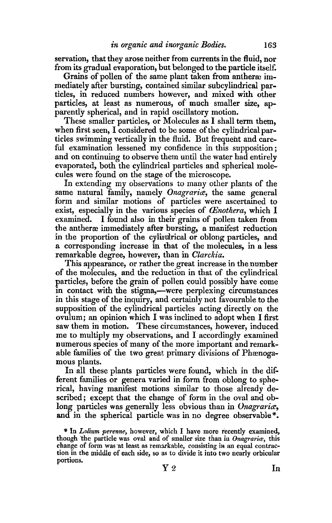servation, that they arose neither from currents in the fluid, nor from its gradual evaporation, but belonged to the particle itself.

Grains of pollen of the same plant taken from antherse immediately after bursting, contained similar subcylindrieal partides, in reduced numbers however, and mixed with other particles, at least as numerous, of much smaller size, apparently spherical, and in rapid oscillatory motion.

These smaller particles, or Molecules as I shall term them, when first seen, I considered to be some of the cylindrical particles swimming vertically in the fluid. But frequent and careful examination lessened my confidence in this supposition; and on continuing to observe them until the water had entirely evaporated, both the cylindrical particles and spherical molecules were found on the stage of the microscope.

In extending my observations to many other plants of the same natural family, namely *Onagrariae,* the same general form and similar motions of particles were ascertained to exist, especially in the various species of *Œnothera*, which I examined. I found also in their grains of pollen taken from the antheræ immediately after bursting, a manifest reduction in the proportion of the cylinulrical or oblong particles, and a corresponding increase in that of the molecules, in a less remarkable degree, however, than in *Clarckia.* 

This appearance, or rather the great inerease in the number of the molecules, and the reduction in that of the cylindrical particles, before the grain of pollen could possibly have come in contact with the stigma,—were perplexing circumstances in this stage of the inquiry, and certainly not favourable to the supposition of the cylindrical particles acting directly on the ovulum; an opinion which I was inclined to adopt when I first saw them in motion. These circumstances, however, induced me to multiply my observations, and I accordingly examined numerous species of many of the more important and remarkable families of the two great primary divisions of Pheenogamous plants.

In all these plants particles were found, which in the different families or genera varied in form from oblong to spherical, having manifest motions similar to those already described; except that the change of form in the oval and oblong particles was generally less obvious than in *Onagraria*, and in the spherical particle was in no degree observable\*.

In *Lolium peremw,* however, which I have more recently examined, though the particle was oval and of smaller size than in *Onagraria*, this change of form was'at least as remarkable, consisting in an equal contraction in the middle of each side, so as to divide it into two nearly orbicular portions.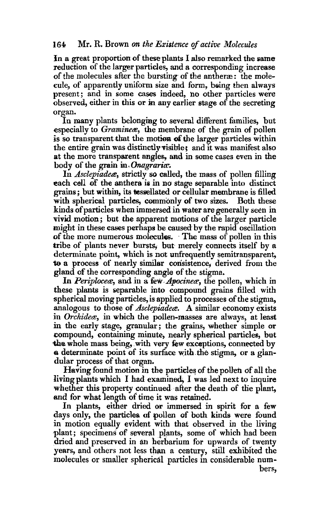In a great proportion of these plants I also remarked the same • reduction of the larger particles, and a corresponding increase of the molecules after the bursting of the antheræ: the molecule, of apparently uniform size and form, being then always present; and in some cases indeed, no other particles were observed, either in this or in any earlier stage of the secreting organ.  $\blacksquare$ 

In many plants belonging to several different families, but especially to *Graminea*, the membrane of the grain of pollen is so transparent that the motion of the larger particles within the entire grain was distinctly visible  $\mu$  and it was manifest also at the more transparent angles, and in some cases even in the body of the grain in. *Onagrariw.* 

In *Asclepiadeæ*, strictly so called, the mass of pollen filling each cell of the anthera is in no stage separable into distinct grains; but Within, its tessellated or cellular membrane is filled with spherical particles, commonly of two sizes. Both these kinds of particles when immersed in water are generally seen in vivid motion; but the apparent motions of the larger particle might in these eases perhaps be caused by the rapid oscillation of the more numerous molecules. The mass of pollen in this tribe of plants never bursts, but merely connects itself by a determinate point, which is not unfrequently semitransparent, to a process of nearly similar consistence, derived from the gland of the corresponding angle of the stigma.

*In Periplocea*, and in a few *Apocinea*, the pollen, which in these plants is separable into compound grains filled with spherical moving particles, is applied to processes of the stigma, analogous to those of *Asclepiadeæ*. A similar economy exists in *Orchidea*, in which the pollen-masses are always, at least in the early stage, granular; the grains, whether simple or compound, containing minute, nearly spherical particles, but the whole mass being, with very few exceptions, connected by a determinate point of its surface with the stigma, or a glandular process of that organ.

Having found motion in the particles of the pollen of all the living plants which  $I$  had examined,  $I$  was led next to inquire whether this property continued after the death of the plant, and for what length of time it was retained.

In plants, either dried or immersed in spirit for a few days only, the partidea of pollen of both kinds were found in motion equally evident with that observed in the living plant; specimens of several plants, some of which had been dried and preserved in an herbarium for upwards of twenty years, and others not less than a century, still exhibited the molecules or smaller spherical particles in considerable numbers,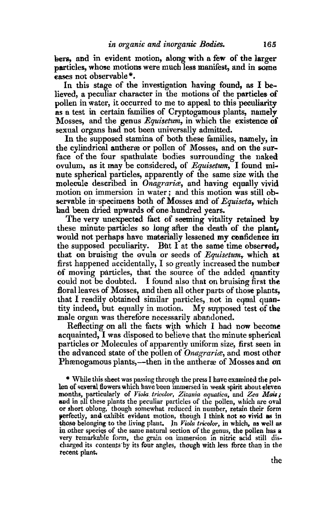bers, and in evident motion, along with a few of the larger particles, whose motions were much less manifest, and in some eases not observable\*.

In this stage of the investigation having found, as I believed, a peculiar character in the motions of the particles of pollen in water, it occurred to me to appeal to this peculiarity as a test in certain families of Cryptogamous plants, namely Mosses, and the genus *Equisetum*, in which the existence of sexual organs had not been universally admitted.

In the supposed stamina of both these families, namely, in the cylindrical antheree or pollen of Mosses, and on the surface of the four spathulate bodies surrounding the naked ovulum, as it may be considered, of *Equisetum*, I found minute spherical particles, apparently of the same size with the molecule described in *Onagrarice,* and having equally vivid motion on immersion in water ; and this motion was still observable in specimens both of Mosses and of *Equiseta*, which had been dried upwards of one hundred years.

The very unexpected fact of seeming vitality retained **by**  these minute particles so long after the death of the plant. would not perhaps have materially lessened my confidence in the supposed peculiarity. But I at the same time observed, that on bruising the ovula or seeds of *Equisetum*, which at first happened accidentally, I so greatly increased the number of moving particles, that the source of the added quantity could not be doubted. I found also that on bruising first the floral leaves of Mosses, and then all other parts of those plants, that I readily obtained similar particles, not in eqnal quantity indeed, but eqnally in motion. My snpposed test of **the**  male organ was therefore necessarily abandoned.

Reflecting on all the facts with which I had now become acquainted, I was disposed to believe that the minute spherical particles or Molecules of apparently uniform size, first seen in the advanced state of the pollen of *Onagrarice,* and most other Phænogamous plants,—then in the antherae of Mosses and on

• While this sheet was passing through thepress I have examined the pollen of several flowers which have been immersed in weak spirit about eleven months, particularly of *Viola tricolor, Zizania aquatica*, and Zea Mais; and in all these plants the peculiar particles of the pollen, which are oval or short oblong, though somewhat reduced in number, retain their form perfectly, and exhibit evident motion, though I think not so vivid as in thoso belonging to the living plant. In *Viola tricolor,* in which, as well **as**  in other species of the same natural section of the genus, the pollen has a very remarkable form, the grain on immersion in nitric acid still discharged its contents by its four angles, though with less force than in the recent plant.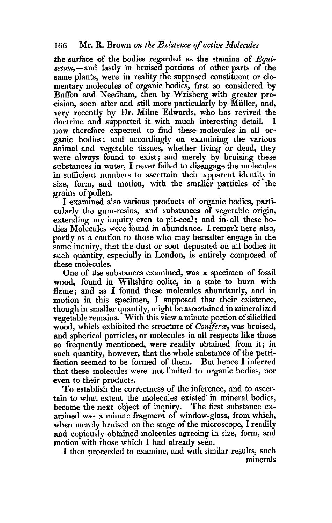the surface of the bodies regarded as the stamina of *Equi*setum,—and lastly in bruised portions of other parts of the same plants, were in reality the supposed constituent or elementary molecules of organic bodies, first so considered by Buffon and Needham, then by Wrisberg with greater precision, soon after and still more particularly by Miiller, and, very recently by Dr. Milne Edwards, who has revived the doctrine and supported it with much interesting detail. I now therefore expected to find these molecules in all oragnanic bodies: and accordingly on examining the various imal and vegetable tissues, whether living or dead, they were always found to exist; and merely by bruising these substances in water, I never failed to disengage the molecules in sufficient numbers to ascertain their apparent identity in size, form, and motion, with the smaller particles of the grains of pollen.

I examined also various products of organic bodies, particularly the gum-resins, and substances of vegetable origin, extending my inquiry even to pit-coal; and in all these bodies Molecules were found in abundance. I remark here also, partly as a caution to those who may hereafter engage in the same inquiry, that the dust or soot deposited on all bodies in such quantity, especially in London, is entirely composed of these molecules.

One of the substances examined, was a specimen of fossil wood, found in Wiltshire oolite, in a state to burn with flame; and as I found these molecules abundantly, and in motion in this specimen, I supposed that their existence, though in smaller quantity, might be ascertained in mineralized vegetable remains. With this view a minute portion ofsilicified wood, which exhibited the structure of *Conifera*, was bruised, and spherical particles, or molecules in all respects like those so frequently mentioned, were readily obtained from it; in such quantity, however, that the whole substance of the petrifaction seemed to be formed of them. But hence I inferred that these molecules were not limited to organic bodies, nor even to their products.

To establish the correctness of the inference, and to ascertain to what extent the molecules existed in mineral bodies, became the next object of inquiry. The first substance examined was a minute fragment of window-glass, from which, when merely bruised on the stage of the microscope, I readily and copiously obtained molecules agreeing in size, form, and motion with those which I had already seen.

I then proceeded to examine, and with similar results, such minerals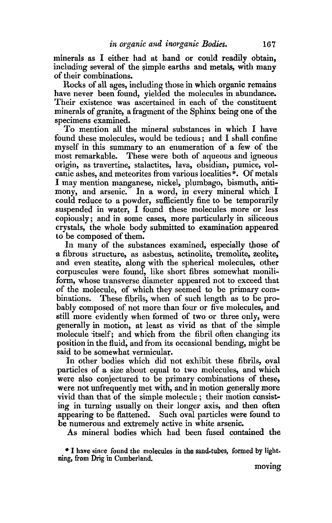minerals as I either had at hand or could readily obtain, including several of the simple earths and metals, with many of their combinations.

Rocks of all ages, including those in which organic remains have never been found, yielded the molecules in abundance. Their existence was ascertained in each of the constituent minerals of granite, a fragment of the Sphinx being one of **the**  specimens examined.

To mention all the mineral substances in which I have found these molecules, would be tedious ; and I shall confine myself in this summary to an enumeration of a few of the most remarkable. These were both of aqueous and igneous origin, as travertine, stalactites, lava, obsidian, pumice, volcanic ashes, and meteorites from various localities $*$ . Of metals I may mention manganese, nickel, plumbago, bismuth, antimony, and arsenic. In a word, in every mineral which I could reduce to a powder, sufficiently fine to be temporarily suspended in water, I found these molecules more or less copiously; and in some cases, more particularly in siliceous crystals, the whole body submitted to examination appeared to be composed of them.

In many of the substances examined, especially those of a fibrous structure, as asbestus, aetinolite, tremolite, zeolite, and even steatite, along with the spherical molecules, other corpuscules were found, like short fibres somewhat moniliform, whose transverse diameter appeared not to exceed that of the molecule, of which they seemed to be primary eom= binations. These fibrils, when of such length as to be pro= bably composed of not more than four or five molecules, and still more evidently when formed of two or three only, were generally in motion, at least as vivid as that of the simple molecule itself; and which from the fibril often changing its position in the fluid, and from its oeeasional bending, might be said to be somewhat vermicular.

In other bodies which did not exhibit these fibrils, oval particles of a size about equal to two molecules, and which were also conjectured to be primary combinations of these, were not unfrequently met with, and in motion generally more vivid than that of the simple molecule; their motion consisting in turning usually on their longer axis, and then often appearing to be flattened. Such oval particles were found to **be** numerous and extremely active in white arsenic.

As mineral bodies which had been fused contained the

**t I have since found the molecules in tho sand-tubes, formed by light.**  ning, from Drig in Cumberland.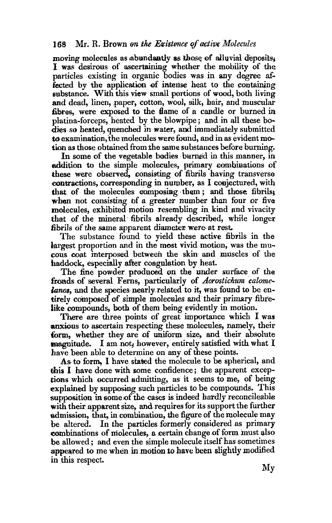moving molecules as abundantly as those of alluvial deposits. I was desirous of ascertaining whether the mobility of the particles existing in organic bodies was in any degree affected by the application of intense heat to the containing substance. With this view small portions of wood, both living and dead, linen, paper, cotton, wool, silk, hair, and muscular £bres, were exposed to the flame of a candle or burned in ptatina-forceps, heated by the blowpipe ; and in all these bodies so heated, quenched in water, and immediately submitted to examination, the molecules were found, and in as evident motion as those obtained from the same substances before burning.

In some of the vegetable bodies burred in this manner, in addition to the simple molecules, primary combinations of these were observed, consisting of fibrils having transverse contractions, corresponding in number, as I conjectured, with that of the molecules composing them; and those fibrils $\mu$ when not consisting of a greater number than four or five molecules, exhibited motion resembling in kind and vivacity that of the mineral fibrils already described, while longer fibrils of the same apparent diameter were at rest.

The substance found to yield these active fibrils in the largest proportion and in the most vivid motion, was the mucous coat interposed betweeia the skin and muscles of the haddock, especially after coagulation by heat.

The fine powder produced on the under surface of the fronds of several Ferns, particularly of *Acrostichum calometanos,* and the species nearly related to it, was found to be entirely composed of simple molecules and their primary fibrelike compounds, both of them being evidently in motion.

There are three points of great importance which I was anxious to ascertain respecting these molecules, namely, their form, whether they are of uniform size, and their absolute **magnitude.** I am not, however, entirely satisfied with what I have been able to determine on any of these points.

As to form, I have stated the molecule to be spherical, and this I have done with some confidence; the apparent exceptions which occurred admitting, as it seems to me, of being explained by supposing such particles to be compounds. This supposition in some of the cases is indeed hardly reconcileable with their apparent size, and requires for its support the further admission, that, in combination, the figure of the molecule may be altered. In the particles formerly considered as primary combinations of molecules, a certain change of form must also be allowed ; and even the simple molecule itself has sometimes appeared to me when in motion to have been slightly modified in this respect.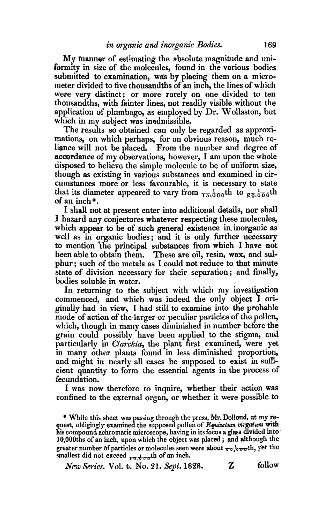My manner of estimating the absolute magnitude and uniformity in size of the molecules, found in the various bodies submitted to examination, was by placing them on a micrometer divided to five thousandths of an inch, the lines of which were very distinct; or more rarely on one divided to ten thousandths, with fainter lines, not readily visible without the application of plumbago, as employed by Dr. Wollaston, but which in my subject was inadmissible.

The results so obtained can only be regarded as approximations, on which perhaps, for an obvious reason, much reliance will not be placed. From the number and degree of accordance of my observations, however, I am upon the whole disposed to believe the simple molecule to be of uniform size, though as existing in various substances and examined in circumstances more or less favourable, it is necessary to state that its diameter appeared to vary from  $\frac{1}{15,000}$ th to  $\frac{1}{80,000}$ th of an inch\*.

I shall not at present enter into additional details, nor shall / hazard any conjectures whatever respecting these molecules, which appear to be of such general existence in inorganic as well as in organic bodies; and it is only further necessary to mention the principal substances from which I have not been able to obtain them. These are oil, resin, wax, and sulphur; such of the metals as I could not reduce to that minute state of division necessary for their separation; and finally, bodies soluble in water.

In returning to the subject with which my investigation commenced, and which was indeed the only object I originally had in view, I had still to examine into the probable mode of action of the larger or peculiar particles of the pollen, which, though in many cases diminished in number before the grain could possibly have been applied to the stigma, and particularly in *Clarckia,* the plant first examined, were yet in many other plants found in less diminished proportion, and might in nearly all cases be supposed to exist in suffrcient quantity to form the essential agents in the process of fecundation.

I was now therefore to inquire, whether their action was confined to the external organ, or whether it were possible to

\* While this sheet was passing through the press, Mr. Dollond, at my request, obligingly examined the supposed pollen of *Equisetum virgatum* with his compound achromatic microscope, having in its focus a glass divided into lO,O00ths of an inch, upon which the object was placed ; and although the greater number of particles or molecules seen were about  $\tau\sigma_v^1\sigma\tau$ th, yet the smallest did not exceed  $\frac{1}{50}$   $\frac{1}{50}$  th of an inch.

*New Series.* Vol. 4. No. 21. *Sept.* 1828. **7. 6. follow**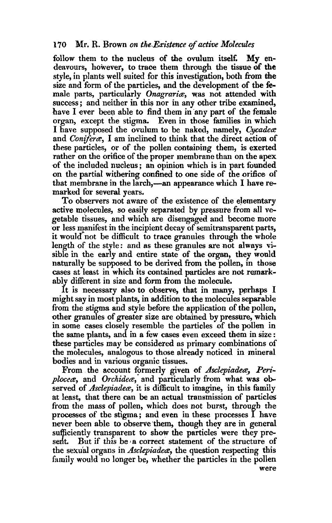follow them to the nucleus of the ovulum itself. My endeavours, however, to trace them through the tissue of the style, in plants well suited for this investigation, both from the size and form of the particles, and the development of the female parts, particularly *Onagraria*, was not attended with success; and neither in this nor in any other tribe examined, have I ever been able to find them in any part of the female organ, except the stigma. Even in those families in which I have supposed the ovulum to be naked, namely, *Cycadeæ* and *Coniferæ*, I am inclined to think that the direct action of these particles, or of the pollen containing them, is exerted rather on the orifice of the proper membrane than on the apex of the included nucleus; an opinion which is in part founded on the partial withering confined to one side of the orifice of that membrane in the larch,—an appearance which I have remarked for several years.

To observers not aware of the existence of the elementary active molecules, so easily separated by pressure from all vegetable tissues, and which are disengaged and become more or less manifest in the incipient decay of semitransparent parts, it would'not be difficult to trace granules through the whole length of the style: and as these granules are not always visible in the early and entire state of the organ, they would naturally be supposed to be derived from the pollen, in those cases at least in which its contained particles are not remarkably different in size and form from the molecule.

It is necessary also to observe, that in many, perhaps I might say in most plants, in addition to the molecules separable from the stigma and style before the application of the pollen, other granules of greater size are obtained by pressure, which in some cases closely resemble the particles of the pollen in the same plants, and in a few cases even exceed them in size: these particles may be considered as primary combinations of the molecules, analogous to those already noticed in mineral bodies and in various organic tissues.

From the account formerly given of *Asclepiadea*, Peri*ploceæ*, and *Orchideæ*, and particularly from what was observed of *Asclepiadece,* it is difficult to imagine, in this family at least, that there can be an actual transmission of particles from the mass of pollen, which does not burst, through the processes of the stigma; and even in these processes I have never been able to observe them, though they are in general sufficiently transparent to show the particles were they present. But if this be a correct statement of the structure of the sexual organs in *Asclepiadea*, the question respecting this family would no longer be, whether the particles in the pollen were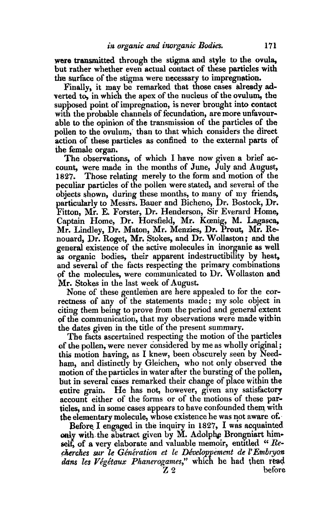were transmitted through the stigma and style to the ovula, but rather whether even actual contact of these particles with the surface of the stigma were necessary to impregnation.

Finally, it may be remarked that those cases already adverted to, in which the apex of the nucleus of the ovulum, the supposed point of impregnation, is never brought into contact with the probable channels of fecundation, are more unfavourable to the opinion of the transmission of the particles of the pollen to the ovuinm; than to that which considers the direct action of these particles as confined to the external parts of the female organ.

The observations, of which I have now given a brief account, were made in the months of June, July and August, 1827. Those relating merely to the form and motion of the peculiar particles of the pollen were stated, and several of the objects shown, during these months, to many of my friends, particularly to Messrs. Bauer and Bicheno, Dr. Bostock, Dr. Fitton, Mr. E. Forster, Dr. Henderson, Sir Everard Home, Captain Home, Dr. Horsfield, Mr. Kœnig, M. Lagasca, Mr. Lindley, Dr. Maton, Mr. Menzies, Dr. Prout, Mr. Renouard, Dr. Roget, Mr. Stokes, and Dr. Wollaston; and the general existence of the active molecules in inorganic as well as organic bodies, their apparent indestructibility by heat, and several of the facts respecting the primary combinations of the molecules, were communicated to Dr. Wollaston and Mr. Stokes in the last week of August.

None of these gentlemen are here appealed to for the correctness of any of the statements made; my sole object in citing them being to prove from the period and general extent of the communication, that my observations were made within the dates given in the title of the present summary.

The facts ascertained respecting the motion of the particles of the pollen, were never considered by me as wholly original; this motion having, as I knew, been obscurely seen by Needham, and distinctly by Gleichen, who not only observed the motion of the particles in water after the bursting of the pollen, but in several cases remarked their change of place within the entire grain. He has not, however, given any satisfactory account either of the forms or of the motions of these particles, and in some cases appears to have confounded them, with the elementary molecule, whose existence he was not aware of.

Before I engaged in the inquiry in 1827, I was acquainted only with the abstract given by M. Adolphe Brongniart himself, of a very elaborate and valuable memoir, entitled " $Re$ *cherches sur le Génération et le Développement de l'Embryon dans les Végétaux Phanerogames,*" which he had then read<br>  $Z$  2 before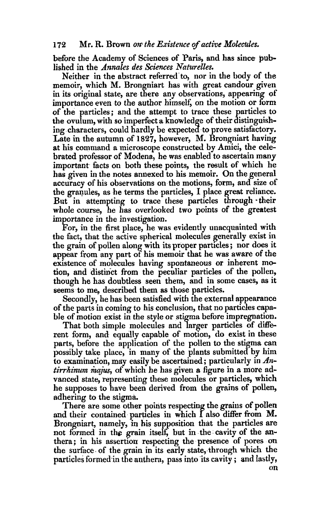before the Academy of Sciences of Paris, and has since published in the *Annales des Sciences Naturelles.* 

Neither in the abstract referred to, nor in the body of the memoir, which M. Brongniart has with great candour given in its original state, are there any observations, appearing of importance even to the author himself, on the motion or form of the particles; and the attempt to trace these particles to the ovulum, with so imperfect a knowledge of their distinguishing characters, could hardly be expected to prove satisfactory. Late in the autumn of 1827, however, M. Brongniart having at his command a microscope constructed by Amici, the celebrated professor of Modena, he was enabled to ascertain many important facts on both these points, the result of which he has given in the notes annexed to his memoir. On the general accuracy of his observations on the motions, form, and size of the granules, as he terms the particles, I place great reliance. But in attempting to trace these particles through their whole course, he has overlooked two points of the greatest importance in the investigation.

For, in the first place, he was evidently unacquainted with the fact, that the active spherical molecules generally exist in the grain of pollen along with its proper particles; nor does it appear from any part of his memoir that he was aware of the existence of molecules having spontaneous or inherent motion, and distinct from the peculiar particles of the pollen, though he has doubtless seen them, and in some cases, as it seems to me, described them as those particles.

Secondly, he has been satisfied with the external appearance of the parts in coming to his conclusion, that no particles capable of motion exist in the style or stigma before impregnation.

That both simple molecules and larger particles of different form, and equally capable of motion, do exist in these parts, before the application of the pollen to the stigma can possibly take place, in many of the plants submitted by him to examination, may easily be ascertained; particularly in  $An$ *tirrhinum majus*, of which he has given a figure in a more advanced state, representing these molecules or particles, which he supposes to have been derived from the grains of pollen, adhering to the stigma.

There are some other points respecting the grains of pollen and their contained particles in which  $\tilde{\Gamma}$  also differ from  $M$ . Brongniart, namely, in his supposition that the particles are not formed in the grain itself, but in the cavity of the anthera; in his assertion respecting the presence of pores on the surface of the grain in its early state, through which the particles formed in the anthera, pass into its cavity; and lastly, on